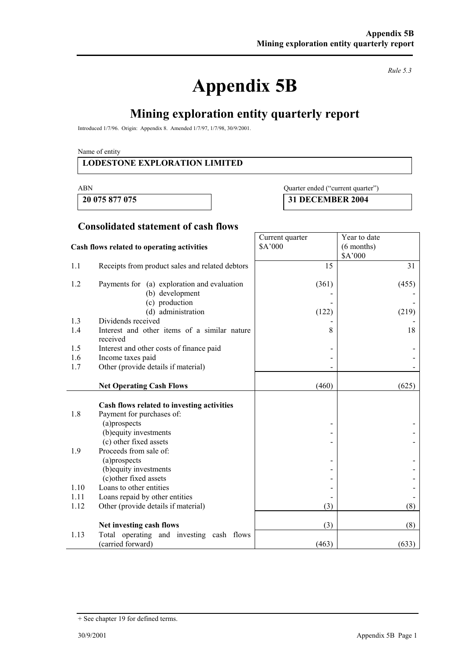# **Appendix 5B**

*Rule 5.3* 

# **Mining exploration entity quarterly report**

Introduced 1/7/96. Origin: Appendix 8. Amended 1/7/97, 1/7/98, 30/9/2001.

Name of entity

#### **LODESTONE EXPLORATION LIMITED**

#### ABN Quarter ended ("current quarter")

Year to date (6 months)

**20 075 877 075 31 DECEMBER 2004** 

Current quarter \$A'000

#### **Consolidated statement of cash flows**

#### **Cash flows related to operating activities**

|      |                                                          |                 | \$A'000 |
|------|----------------------------------------------------------|-----------------|---------|
| 1.1  | Receipts from product sales and related debtors          | 15              | 31      |
| 1.2  | Payments for (a) exploration and evaluation              | (361)           | (455)   |
|      | (b) development                                          |                 |         |
|      | (c) production                                           |                 |         |
|      | (d) administration                                       | (122)           | (219)   |
| 1.3  | Dividends received                                       |                 |         |
| 1.4  | Interest and other items of a similar nature<br>received | 8               | 18      |
| 1.5  | Interest and other costs of finance paid                 |                 |         |
| 1.6  | Income taxes paid                                        |                 |         |
| 1.7  | Other (provide details if material)                      |                 |         |
|      |                                                          |                 |         |
|      | <b>Net Operating Cash Flows</b>                          | (460)           | (625)   |
|      |                                                          |                 |         |
|      | Cash flows related to investing activities               |                 |         |
| 1.8  | Payment for purchases of:                                |                 |         |
|      | (a)prospects                                             | $\qquad \qquad$ |         |
|      | (b) equity investments                                   |                 |         |
|      | (c) other fixed assets                                   |                 |         |
| 1.9  | Proceeds from sale of:                                   |                 |         |
|      | (a)prospects                                             |                 |         |
|      | (b) equity investments<br>(c) other fixed assets         |                 |         |
| 1.10 | Loans to other entities                                  |                 |         |
| 1.11 | Loans repaid by other entities                           |                 |         |
| 1.12 | Other (provide details if material)                      | (3)             | (8)     |
|      |                                                          |                 |         |
|      | Net investing cash flows                                 | (3)             | (8)     |
| 1.13 | Total operating and investing cash flows                 |                 |         |
|      | (carried forward)                                        | (463)           | (633)   |

<sup>+</sup> See chapter 19 for defined terms.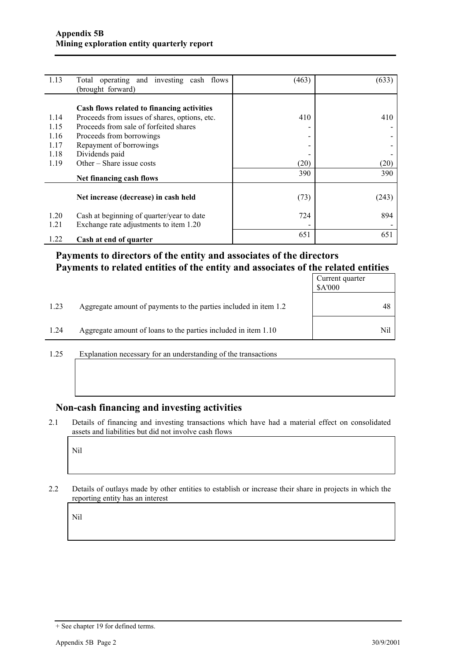| 1.13         | Total operating and investing cash flows<br>(brought forward)                       | (463)                    | (633) |
|--------------|-------------------------------------------------------------------------------------|--------------------------|-------|
|              | Cash flows related to financing activities                                          |                          |       |
| 1.14         | Proceeds from issues of shares, options, etc.                                       | 410                      | 410   |
| 1.15         | Proceeds from sale of forfeited shares                                              | $\overline{\phantom{0}}$ |       |
| 1.16         | Proceeds from borrowings                                                            | -                        |       |
| 1.17         | Repayment of borrowings                                                             | -                        |       |
| 1.18         | Dividends paid                                                                      |                          |       |
| 1.19         | Other $-$ Share issue costs                                                         | (20)                     | (20)  |
|              | Net financing cash flows                                                            | 390                      | 390   |
|              | Net increase (decrease) in cash held                                                | (73)                     | (243) |
| 1.20<br>1.21 | Cash at beginning of quarter/year to date<br>Exchange rate adjustments to item 1.20 | 724                      | 894   |
| 1.22         | Cash at end of quarter                                                              | 651                      | 651   |

#### **Payments to directors of the entity and associates of the directors Payments to related entities of the entity and associates of the related entities**

|      |                                                                  | Current quarter<br>\$A'000 |
|------|------------------------------------------------------------------|----------------------------|
| 1.23 | Aggregate amount of payments to the parties included in item 1.2 | 48                         |
| 1.24 | Aggregate amount of loans to the parties included in item 1.10   | Nil                        |

1.25 Explanation necessary for an understanding of the transactions

#### **Non-cash financing and investing activities**

2.1 Details of financing and investing transactions which have had a material effect on consolidated assets and liabilities but did not involve cash flows

Nil

2.2 Details of outlays made by other entities to establish or increase their share in projects in which the reporting entity has an interest

Nil

<sup>+</sup> See chapter 19 for defined terms.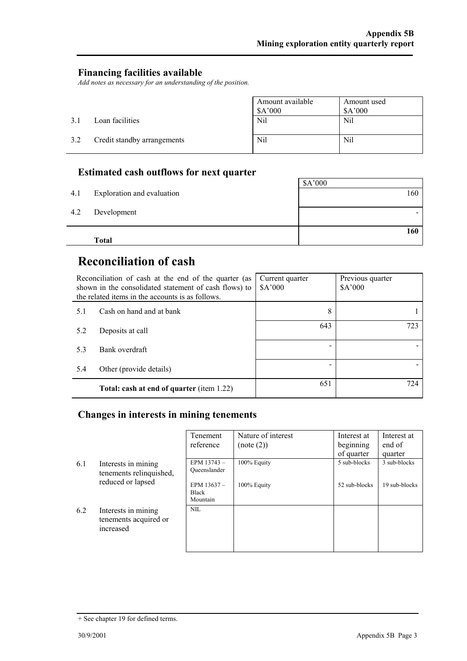#### **Financing facilities available**

*Add notes as necessary for an understanding of the position.* 

|     |                             | Amount available<br>\$A'000 | Amount used<br>A'000 |
|-----|-----------------------------|-----------------------------|----------------------|
| 3.1 | Loan facilities             | Nil                         | Nil                  |
| 3.2 | Credit standby arrangements | Nil                         | Nil                  |

### **Estimated cash outflows for next quarter**

| 4.1 | Exploration and evaluation | \$A'000<br>160 |
|-----|----------------------------|----------------|
|     |                            |                |
| 4.2 | Development                |                |
|     |                            | 160            |
|     | <b>Total</b>               |                |

# **Reconciliation of cash**

| Reconciliation of cash at the end of the quarter (as<br>shown in the consolidated statement of cash flows) to<br>the related items in the accounts is as follows. |                                                  | Current quarter<br>A'000 | Previous quarter<br>\$A'000 |
|-------------------------------------------------------------------------------------------------------------------------------------------------------------------|--------------------------------------------------|--------------------------|-----------------------------|
| 5.1                                                                                                                                                               | Cash on hand and at bank                         | 8                        |                             |
| 5.2                                                                                                                                                               | Deposits at call                                 | 643                      | 723                         |
| 53                                                                                                                                                                | Bank overdraft                                   |                          |                             |
| 5.4                                                                                                                                                               | Other (provide details)                          |                          |                             |
|                                                                                                                                                                   | <b>Total: cash at end of quarter (item 1.22)</b> | 651                      | 724                         |

#### **Changes in interests in mining tenements**

|     |                                                           | Tenement<br>reference                  | Nature of interest<br>(note (2)) | Interest at<br>beginning<br>of quarter | Interest at<br>end of<br>quarter |
|-----|-----------------------------------------------------------|----------------------------------------|----------------------------------|----------------------------------------|----------------------------------|
| 6.1 | Interests in mining<br>tenements relinquished,            | EPM 13743-<br>Oueenslander             | 100% Equity                      | 5 sub-blocks                           | 3 sub-blocks                     |
|     | reduced or lapsed                                         | EPM 13637-<br><b>Black</b><br>Mountain | 100% Equity                      | 52 sub-blocks                          | 19 sub-blocks                    |
| 6.2 | Interests in mining<br>tenements acquired or<br>increased | NIL.                                   |                                  |                                        |                                  |

<sup>+</sup> See chapter 19 for defined terms.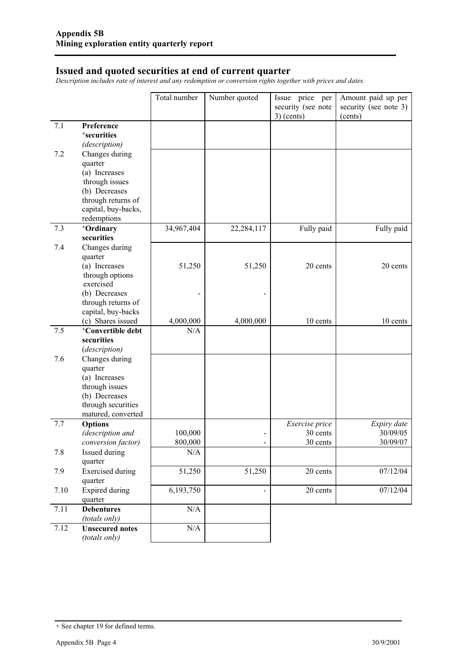#### **Issued and quoted securities at end of current quarter**

*Description includes rate of interest and any redemption or conversion rights together with prices and dates.* 

|      |                                     | Total number | Number quoted | Issue price per<br>security (see note<br>$3)$ (cents) | Amount paid up per<br>security (see note 3)<br>(cents) |
|------|-------------------------------------|--------------|---------------|-------------------------------------------------------|--------------------------------------------------------|
| 7.1  | Preference                          |              |               |                                                       |                                                        |
|      | <sup>+</sup> securities             |              |               |                                                       |                                                        |
|      | (description)                       |              |               |                                                       |                                                        |
| 7.2  | Changes during                      |              |               |                                                       |                                                        |
|      | quarter                             |              |               |                                                       |                                                        |
|      | (a) Increases                       |              |               |                                                       |                                                        |
|      | through issues                      |              |               |                                                       |                                                        |
|      | (b) Decreases                       |              |               |                                                       |                                                        |
|      | through returns of                  |              |               |                                                       |                                                        |
|      | capital, buy-backs,                 |              |               |                                                       |                                                        |
|      | redemptions                         |              |               |                                                       |                                                        |
| 7.3  | <sup>+</sup> Ordinary               | 34,967,404   | 22,284,117    | Fully paid                                            | Fully paid                                             |
|      | securities                          |              |               |                                                       |                                                        |
| 7.4  | Changes during                      |              |               |                                                       |                                                        |
|      | quarter                             |              |               |                                                       |                                                        |
|      | (a) Increases                       | 51,250       | 51,250        | 20 cents                                              | 20 cents                                               |
|      | through options                     |              |               |                                                       |                                                        |
|      | exercised                           |              |               |                                                       |                                                        |
|      | (b) Decreases<br>through returns of |              |               |                                                       |                                                        |
|      | capital, buy-backs                  |              |               |                                                       |                                                        |
|      | (c) Shares issued                   | 4,000,000    | 4,000,000     | 10 cents                                              | 10 cents                                               |
| 7.5  | <sup>+</sup> Convertible debt       | N/A          |               |                                                       |                                                        |
|      | securities                          |              |               |                                                       |                                                        |
|      | (description)                       |              |               |                                                       |                                                        |
| 7.6  | Changes during                      |              |               |                                                       |                                                        |
|      | quarter                             |              |               |                                                       |                                                        |
|      | (a) Increases                       |              |               |                                                       |                                                        |
|      | through issues                      |              |               |                                                       |                                                        |
|      | (b) Decreases                       |              |               |                                                       |                                                        |
|      | through securities                  |              |               |                                                       |                                                        |
|      | matured, converted                  |              |               |                                                       |                                                        |
| 7.7  | <b>Options</b>                      |              |               | Exercise price                                        | Expiry date                                            |
|      | (description and                    | 100,000      |               | 30 cents                                              | 30/09/05                                               |
|      | conversion factor)                  | 800,000      |               | 30 cents                                              | 30/09/07                                               |
| 7.8  | Issued during                       | N/A          |               |                                                       |                                                        |
|      | quarter                             |              |               |                                                       |                                                        |
| 7.9  | <b>Exercised</b> during<br>quarter  | 51,250       | 51,250        | 20 cents                                              | 07/12/04                                               |
| 7.10 | Expired during                      | 6,193,750    |               | 20 cents                                              | 07/12/04                                               |
|      | quarter                             |              |               |                                                       |                                                        |
| 7.11 | <b>Debentures</b>                   | $\rm N/A$    |               |                                                       |                                                        |
|      | (totals only)                       |              |               |                                                       |                                                        |
| 7.12 | <b>Unsecured notes</b>              | $\rm N/A$    |               |                                                       |                                                        |
|      | (totals only)                       |              |               |                                                       |                                                        |

<sup>+</sup> See chapter 19 for defined terms.